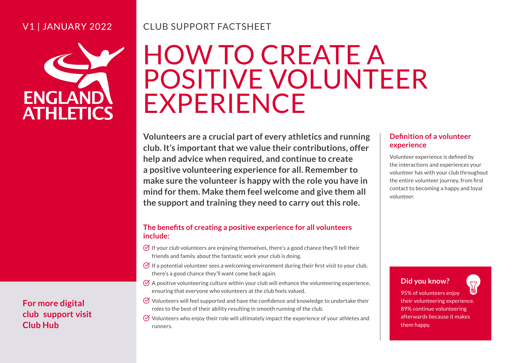#### V1 | JANUARY 2022



## CLUB SUPPORT FACTSHEET

# HOW TO CREATE A POSITIVE VOLUNTEER EXPERIENCE

**Volunteers are a crucial part of every athletics and running club. It's important that we value their contributions, offer help and advice when required, and continue to create a positive volunteering experience for all. Remember to make sure the volunteer is happy with the role you have in mind for them. Make them feel welcome and give them all the support and training they need to carry out this role. Definition of a volunteers are a crucial part of every athletics and running**<br> **Definition of a volunteer which would the example that we value their contributions, offer<br>
Under experience is defined by a condition of a v** 

#### **The benefits of creating a positive experience for all volunteers include:**

- $\Theta$  If your club volunteers are enjoying themselves, there's a good chance they'll tell their friends and family about the fantastic work your club is doing.
- If a potential volunteer sees a welcoming environment during their first visit to your club, there's a good chance they'll want come back again.
- $\varnothing$  A positive volunteering culture within your club will enhance the volunteering experience, ensuring that everyone who volunteers at the club feels valued.
- Volunteers will feel supported and have the confidence and knowledge to undertake their roles to the best of their ability resulting in smooth running of the club.
- $\heartsuit$  Volunteers who enjoy their role will ultimately impact the experience of your athletes and

## **experience**

 Volunteer experience is defined by the entire volunteer journey, from first the interactions and experiences your volunteer has with your club throughout contact to becoming a happy and loyal volunteer.

#### **Did you know?**

95% of volunteers enjoy their volunteering experience. 89% continue volunteering afterwards because it makes them happy.

**For more digital club support visit [Club Hub](http://www.englandathletics.org/resources)**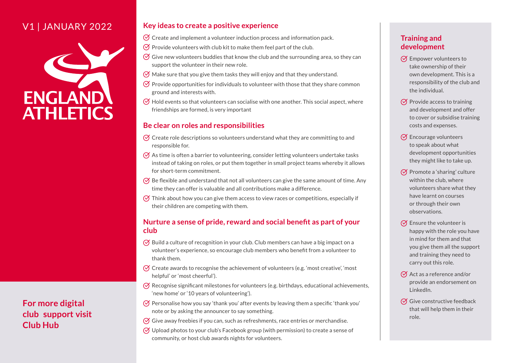#### V1 | JANUARY 2022



**For more digital club support visit Club Hub**

#### **Key ideas to create a positive experience**

- $\varnothing$  Create and implement a volunteer induction process and information pack.
- $\Theta$  Provide volunteers with club kit to make them feel part of the club.
- $\varnothing$  Give new volunteers buddies that know the club and the surrounding area, so they can support the volunteer in their new role.
- $\varnothing$  Make sure that you give them tasks they will enjoy and that they understand.
- $\varnothing$  Provide opportunities for individuals to volunteer with those that they share common ground and interests with.
- $\varnothing$  Hold events so that volunteers can socialise with one another. This social aspect, where friendships are formed, is very important

#### **Be clear on roles and responsibilities**

- $\varnothing$  Create role descriptions so volunteers understand what they are committing to and responsible for.
- $\varphi$  As time is often a barrier to volunteering, consider letting volunteers undertake tasks instead of taking on roles, or put them together in small project teams whereby it allows for short-term commitment.
- Be flexible and understand that not all volunteers can give the same amount of time. Any time they can offer is valuable and all contributions make a difference.
- $\varnothing$  Think about how you can give them access to view races or competitions, especially if their children are competing with them.

#### **Nurture a sense of pride, reward and social benefit as part of your club**

- volunteer's experience, so encourage club members who benefit from a volunteer to  $\varnothing$  Build a culture of recognition in your club. Club members can have a big impact on a thank them.
- $\varnothing$  Create awards to recognise the achievement of volunteers (e.g. 'most creative', 'most helpful' or 'most cheerful').
- Recognise significant milestones for volunteers (e.g. birthdays, educational achievements, 'new home' or '10 years of volunteering').
- Personalise how you say 'thank you' after events by leaving them a specific 'thank you' note or by asking the announcer to say something.
- $\varnothing$  Give away freebies if you can, such as refreshments, race entries or merchandise.
- $\varphi$  Upload photos to your club's Facebook group (with permission) to create a sense of community, or host club awards nights for volunteers.

#### **Training and development**

- $\varnothing$  Empower volunteers to take ownership of their own development. This is a responsibility of the club and the individual.
- $\varnothing$  Provide access to training and development and offer to cover or subsidise training costs and expenses.
- $\varnothing$  Encourage volunteers to speak about what development opportunities they might like to take up.
- $\varnothing$  Promote a 'sharing' culture within the club, where volunteers share what they have learnt on courses or through their own observations.
- $\varnothing$  Ensure the volunteer is happy with the role you have in mind for them and that you give them all the support and training they need to carry out this role.
- $\varnothing$  Act as a reference and/or provide an endorsement on LinkedIn.
- $\varnothing$  Give constructive feedback that will help them in their role.